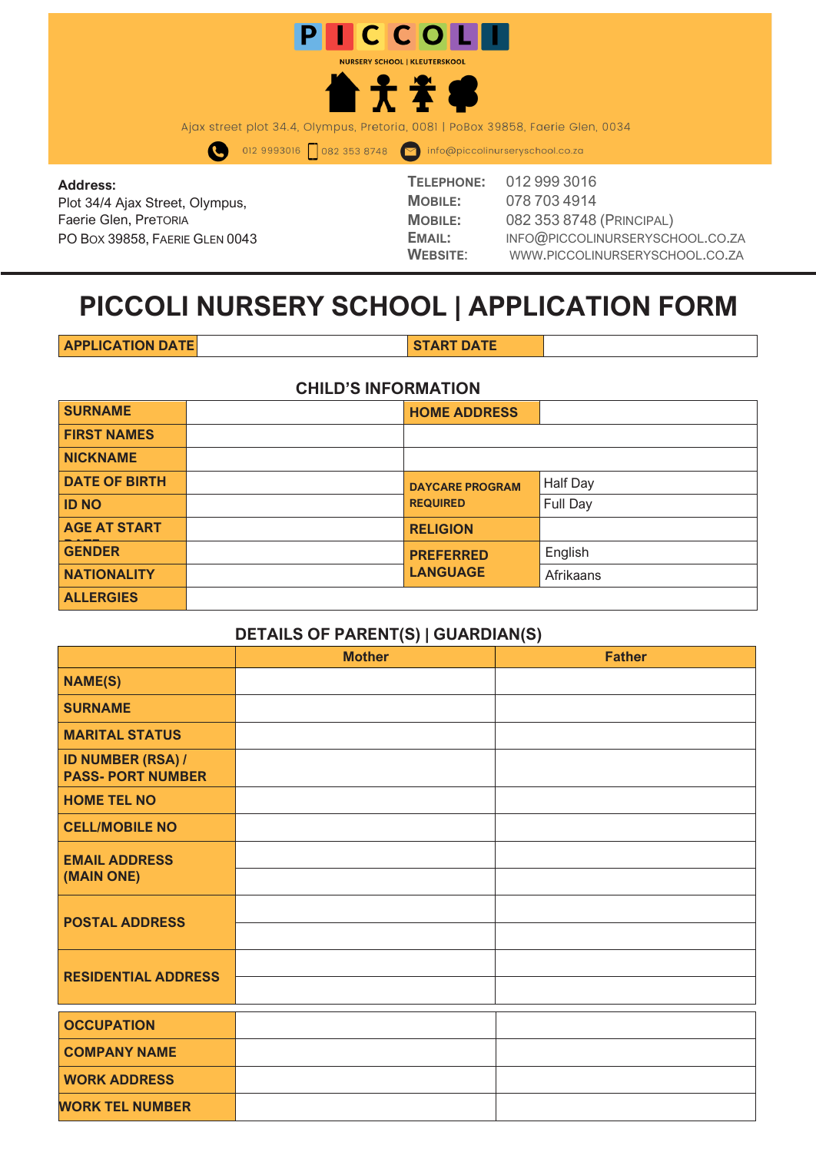

# **PICCOLI NURSERY SCHOOL | APPLICATION FORM**

**APPLICATION DATE START DATE** 

#### **CHILD'S INFORMATION**

| <b>SURNAME</b>       | <b>HOME ADDRESS</b>    |                 |
|----------------------|------------------------|-----------------|
| <b>FIRST NAMES</b>   |                        |                 |
| <b>NICKNAME</b>      |                        |                 |
| <b>DATE OF BIRTH</b> | <b>DAYCARE PROGRAM</b> | <b>Half Day</b> |
| <b>ID NO</b>         | <b>REQUIRED</b>        | Full Day        |
| <b>AGE AT START</b>  | <b>RELIGION</b>        |                 |
| <b>GENDER</b>        | <b>PREFERRED</b>       | English         |
| <b>NATIONALITY</b>   | <b>LANGUAGE</b>        | Afrikaans       |
| <b>ALLERGIES</b>     |                        |                 |

### **DETAILS OF PARENT(S) | GUARDIAN(S)**

|                                                      | <b>Mother</b> | <b>Father</b> |
|------------------------------------------------------|---------------|---------------|
| <b>NAME(S)</b>                                       |               |               |
| <b>SURNAME</b>                                       |               |               |
| <b>MARITAL STATUS</b>                                |               |               |
| <b>ID NUMBER (RSA) /</b><br><b>PASS- PORT NUMBER</b> |               |               |
| <b>HOME TEL NO</b>                                   |               |               |
| <b>CELL/MOBILE NO</b>                                |               |               |
| <b>EMAIL ADDRESS</b>                                 |               |               |
| (MAIN ONE)                                           |               |               |
| <b>POSTAL ADDRESS</b>                                |               |               |
|                                                      |               |               |
| <b>RESIDENTIAL ADDRESS</b>                           |               |               |
|                                                      |               |               |
| <b>OCCUPATION</b>                                    |               |               |
| <b>COMPANY NAME</b>                                  |               |               |
| <b>WORK ADDRESS</b>                                  |               |               |
| <b>WORK TEL NUMBER</b>                               |               |               |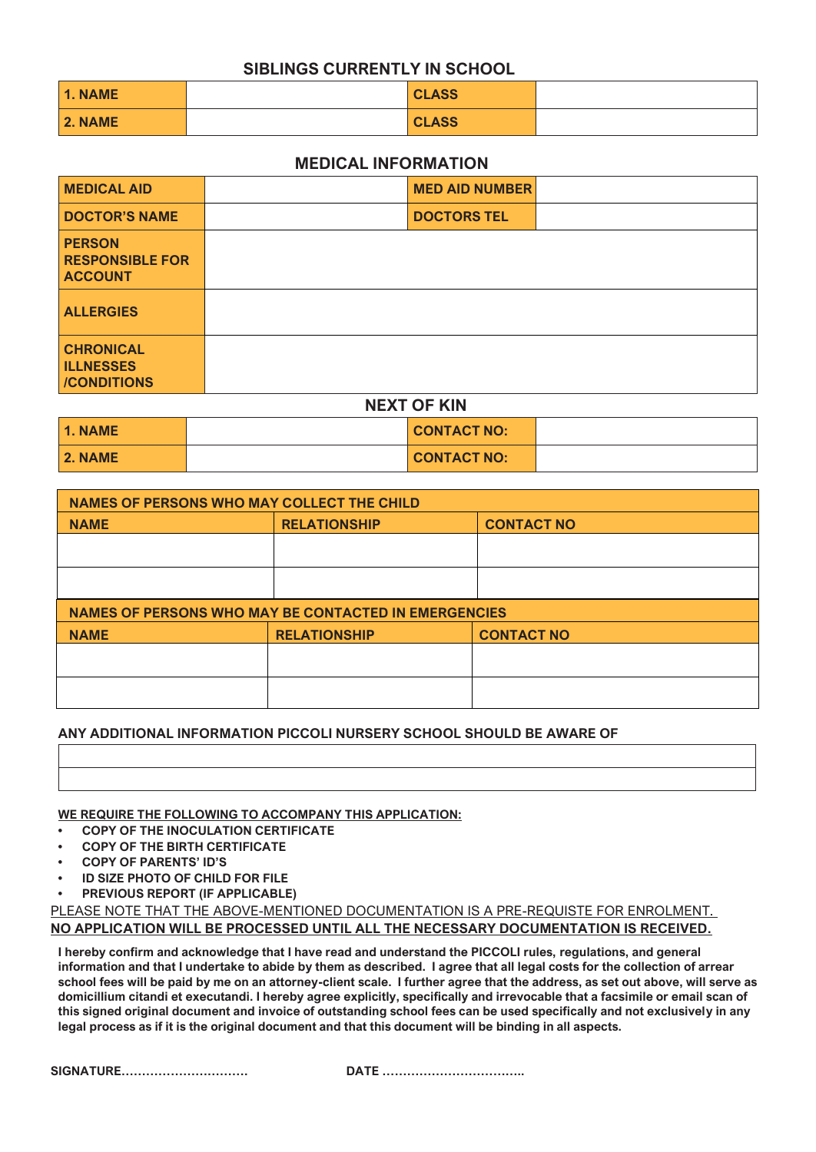### **SIBLINGS CURRENTLY IN SCHOOL**

| <b>1. NAME</b> | <b>CLASS</b> |  |
|----------------|--------------|--|
| 2. NAME        | <b>CLASS</b> |  |

### **MEDICAL INFORMATION**

| <b>MEDICAL AID</b>                                        | <b>MED AID NUMBER</b> |  |
|-----------------------------------------------------------|-----------------------|--|
| <b>DOCTOR'S NAME</b>                                      | <b>DOCTORS TEL</b>    |  |
| <b>PERSON</b><br><b>RESPONSIBLE FOR</b><br><b>ACCOUNT</b> |                       |  |
| <b>ALLERGIES</b>                                          |                       |  |
| <b>CHRONICAL</b><br><b>ILLNESSES</b><br>/CONDITIONS       |                       |  |

#### **NEXT OF KIN**

| 1. NAME        | <b>CONTACT NO:</b> |  |
|----------------|--------------------|--|
| <b>2. NAME</b> | <b>CONTACT NO:</b> |  |

| <b>NAMES OF PERSONS WHO MAY COLLECT THE CHILD</b> |                                                             |                   |  |
|---------------------------------------------------|-------------------------------------------------------------|-------------------|--|
| <b>NAME</b>                                       | <b>RELATIONSHIP</b>                                         | <b>CONTACT NO</b> |  |
|                                                   |                                                             |                   |  |
|                                                   |                                                             |                   |  |
|                                                   | <b>NAMES OF PERSONS WHO MAY BE CONTACTED IN EMERGENCIES</b> |                   |  |
| <b>NAME</b>                                       | <b>RELATIONSHIP</b>                                         | <b>CONTACT NO</b> |  |
|                                                   |                                                             |                   |  |
|                                                   |                                                             |                   |  |

### **ANY ADDITIONAL INFORMATION PICCOLI NURSERY SCHOOL SHOULD BE AWARE OF**

**WE REQUIRE THE FOLLOWING TO ACCOMPANY THIS APPLICATION:**

- **• COPY OF THE INOCULATION CERTIFICATE**
- **• COPY OF THE BIRTH CERTIFICATE**
- **• COPY OF PARENTS' ID'S**
- **• ID SIZE PHOTO OF CHILD FOR FILE**
- **• PREVIOUS REPORT (IF APPLICABLE)**

PLEASE NOTE THAT THE ABOVE-MENTIONED DOCUMENTATION IS A PRE-REQUISTE FOR ENROLMENT. **NO APPLICATION WILL BE PROCESSED UNTIL ALL THE NECESSARY DOCUMENTATION IS RECEIVED.**

**I hereby confirm and acknowledge that I have read and understand the PICCOLI rules, regulations, and general information and that I undertake to abide by them as described. I agree that all legal costs for the collection of arrear school fees will be paid by me on an attorney-client scale. I further agree that the address, as set out above, will serve as domicillium citandi et executandi. I hereby agree explicitly, specifically and irrevocable that a facsimile or email scan of this signed original document and invoice of outstanding school fees can be used specifically and not exclusively in any legal process as if it is the original document and that this document will be binding in all aspects.**

**SIGNATURE…………………………. DATE ……………………………..**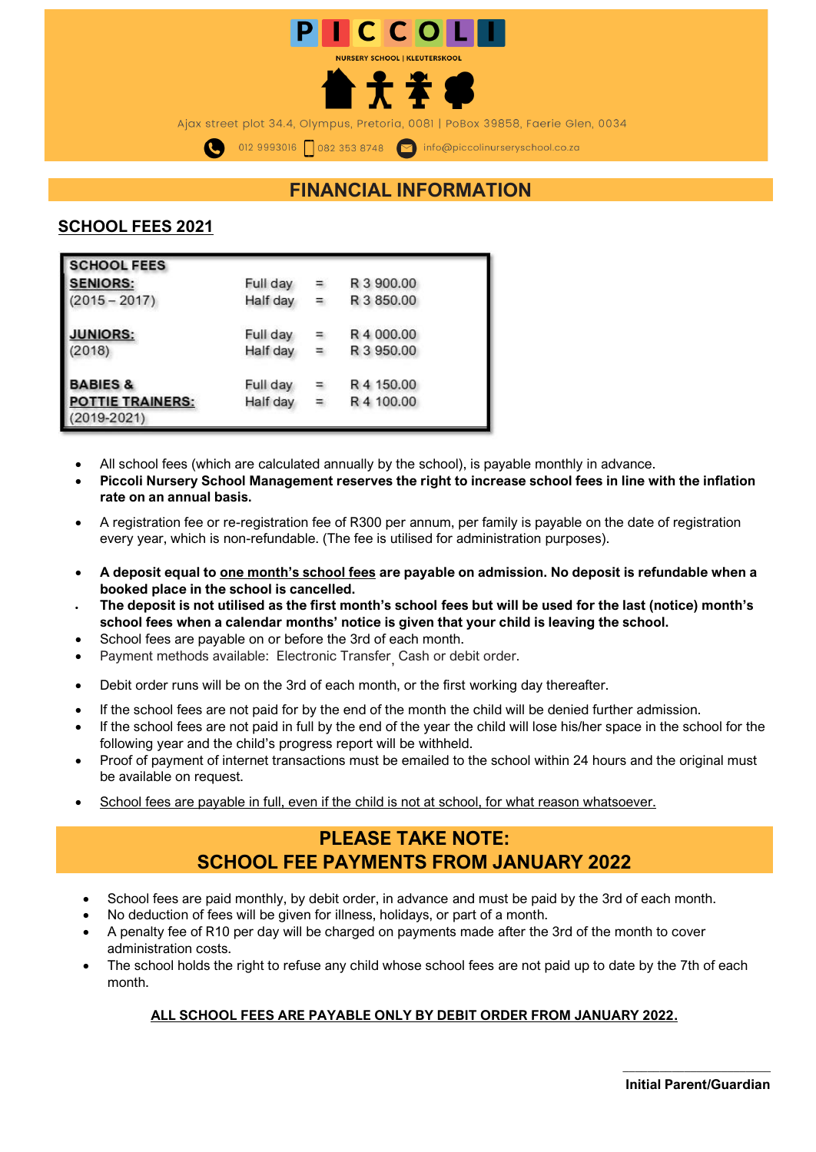

### **FINANCIAL INFORMATION**

### **SCHOOL FEES 2021**

| <b>SCHOOL FEES</b>                         |          |               |            |
|--------------------------------------------|----------|---------------|------------|
| <b>SENIORS:</b>                            | Full day | 4             | R 3 900.00 |
| $(2015 - 2017)$                            | Half day | $\frac{1}{2}$ | R 3 850,00 |
| <b>JUNIORS:</b>                            | Full day | ٠             | R 4 000,00 |
| (2018)                                     | Half day | ÷.            | R 3 950.00 |
| <b>BABIES &amp;</b>                        | Full day | ÷.            | R 4 150.00 |
| <b>POTTIE TRAINERS:</b><br>$(2019 - 2021)$ | Half day | $\equiv$      | R 4 100.00 |

- All school fees (which are calculated annually by the school), is payable monthly in advance.
- **Piccoli Nursery School Management reserves the right to increase school fees in line with the inflation rate on an annual basis.**
- A registration fee or re-registration fee of R300 per annum, per family is payable on the date of registration every year, which is non-refundable. (The fee is utilised for administration purposes).
- **A deposit equal to one month's school fees are payable on admission. No deposit is refundable when a booked place in the school is cancelled.**
- **The deposit is not utilised as the first month's school fees but will be used for the last (notice) month's school fees when a calendar months' notice is given that your child is leaving the school.**
- School fees are payable on or before the 3rd of each month.
- Payment methods available: Electronic Transfer , Cash or debit order.
- Debit order runs will be on the 3rd of each month, or the first working day thereafter.
- If the school fees are not paid for by the end of the month the child will be denied further admission.
- If the school fees are not paid in full by the end of the year the child will lose his/her space in the school for the following year and the child's progress report will be withheld.
- Proof of payment of internet transactions must be emailed to the school within 24 hours and the original must be available on request.
- School fees are payable in full, even if the child is not at school, for what reason whatsoever.

### **PLEASE TAKE NOTE: SCHOOL FEE PAYMENTS FROM JANUARY 2022**

- School fees are paid monthly, by debit order, in advance and must be paid by the 3rd of each month.
- No deduction of fees will be given for illness, holidays, or part of a month.
- A penalty fee of R10 per day will be charged on payments made after the 3rd of the month to cover administration costs.
- The school holds the right to refuse any child whose school fees are not paid up to date by the 7th of each month.

### **ALL SCHOOL FEES ARE PAYABLE ONLY BY DEBIT ORDER FROM JANUARY 2022.**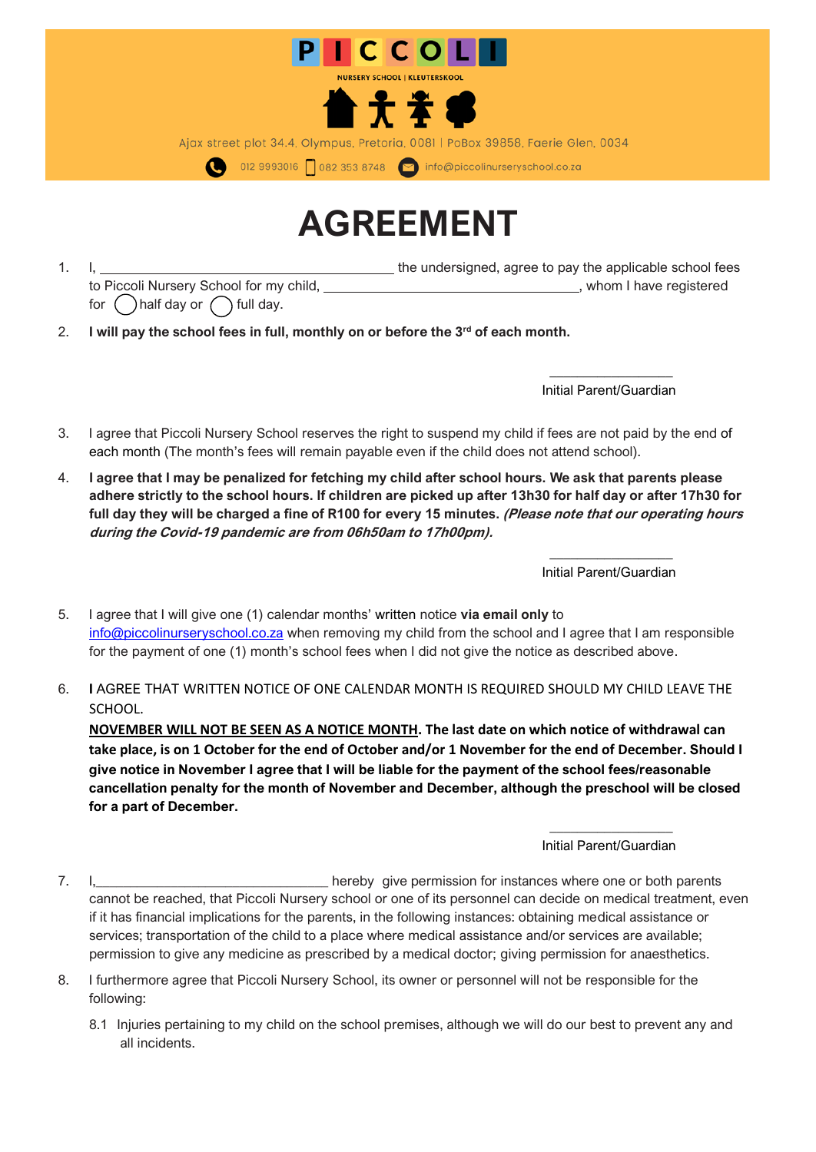

# **AGREEMENT**

- 1. I, 1. 1. the undersigned, agree to pay the applicable school fees to Piccoli Nursery School for my child, **the Contract of Contract Contract of Piccoli Nursery School for my child,** for  $\binom{ }{ }$  half day or  $\binom{ }{ }$  full day.
- 2. **I will pay the school fees in full, monthly on or before the 3rd of each month.**

 $\overline{\phantom{a}}$  , where the contract of the contract of the contract of the contract of the contract of the contract of the contract of the contract of the contract of the contract of the contract of the contract of the contr Initial Parent/Guardian

- 3. I agree that Piccoli Nursery School reserves the right to suspend my child if fees are not paid by the end of each month (The month's fees will remain payable even if the child does not attend school).
- 4. **I agree that I may be penalized for fetching my child after school hours. We ask that parents please adhere strictly to the school hours. If children are picked up after 13h30 for half day or after 17h30 for full day they will be charged a fine of R100 for every 15 minutes. (Please note that our operating hours during the Covid-19 pandemic are from 06h50am to 17h00pm).**

\_\_\_\_\_\_\_\_\_\_\_\_\_\_\_\_\_\_ Initial Parent/Guardian

5. I agree that I will give one (1) calendar months' written notice **via email only** to [info@piccolinurseryschool.co.za](mailto:info@piccolinurseryschool.co.za) when removing my child from the school and I agree that I am responsible for the payment of one (1) month's school fees when I did not give the notice as described above.

6. **I** AGREE THAT WRITTEN NOTICE OF ONE CALENDAR MONTH IS REQUIRED SHOULD MY CHILD LEAVE THE SCHOOL.

**NOVEMBER WILL NOT BE SEEN AS A NOTICE MONTH. The last date on which notice of withdrawal can take place, is on 1 October for the end of October and/or 1 November for the end of December. Should I give notice in November I agree that I will be liable for the payment of the school fees/reasonable cancellation penalty for the month of November and December, although the preschool will be closed for a part of December.**

> \_\_\_\_\_\_\_\_\_\_\_\_\_\_\_\_\_\_ Initial Parent/Guardian

- 7. I,\_\_\_\_\_\_\_\_\_\_\_\_\_\_\_\_\_\_\_\_\_\_\_\_\_\_\_\_\_\_\_\_\_\_ hereby give permission for instances where one or both parents cannot be reached, that Piccoli Nursery school or one of its personnel can decide on medical treatment, even if it has financial implications for the parents, in the following instances: obtaining medical assistance or services; transportation of the child to a place where medical assistance and/or services are available; permission to give any medicine as prescribed by a medical doctor; giving permission for anaesthetics.
- 8. I furthermore agree that Piccoli Nursery School, its owner or personnel will not be responsible for the following:
	- 8.1 Injuries pertaining to my child on the school premises, although we will do our best to prevent any and all incidents.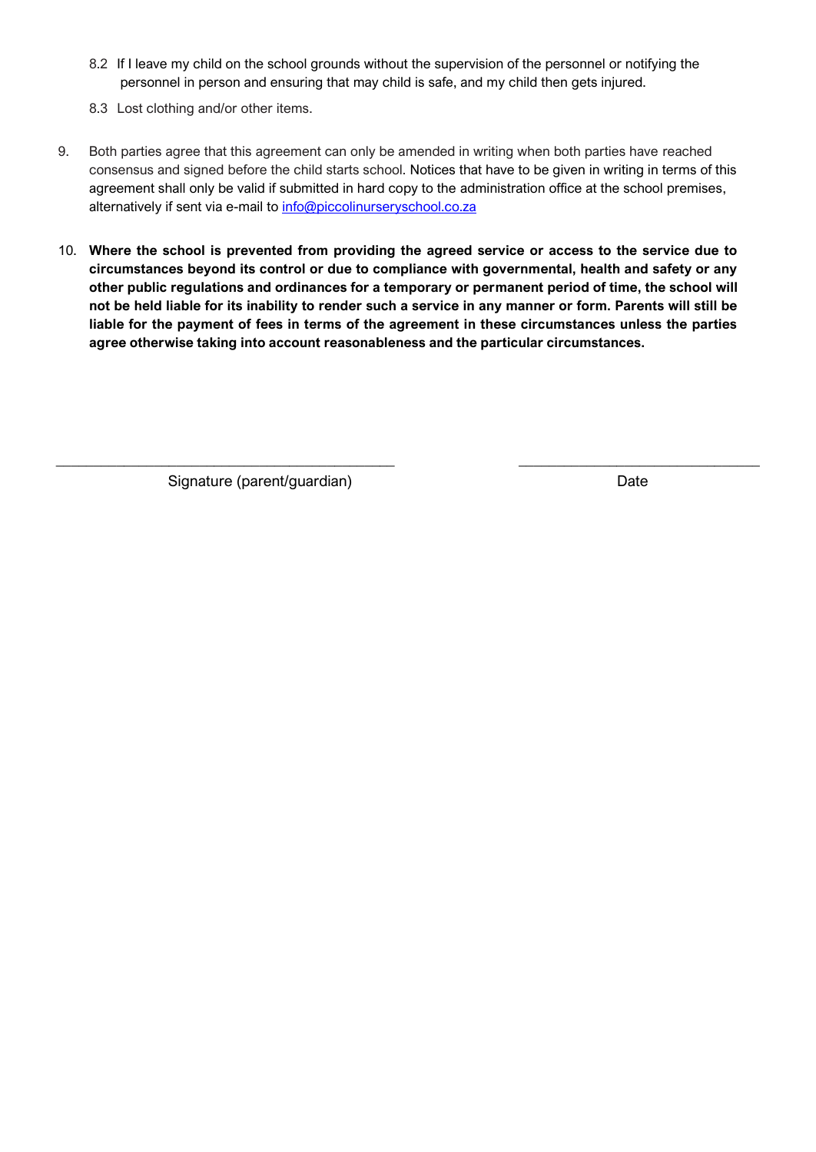- 8.2 If I leave my child on the school grounds without the supervision of the personnel or notifying the personnel in person and ensuring that may child is safe, and my child then gets injured.
- 8.3 Lost clothing and/or other items.
- 9. Both parties agree that this agreement can only be amended in writing when both parties have reached consensus and signed before the child starts school. Notices that have to be given in writing in terms of this agreement shall only be valid if submitted in hard copy to the administration office at the school premises, alternatively if sent via e-mail to [info@piccolinurseryschool.co.za](mailto:info@piccolinurseryschool.co.za)
- 10. **Where the school is prevented from providing the agreed service or access to the service due to circumstances beyond its control or due to compliance with governmental, health and safety or any other public regulations and ordinances for a temporary or permanent period of time, the school will not be held liable for its inability to render such a service in any manner or form. Parents will still be liable for the payment of fees in terms of the agreement in these circumstances unless the parties agree otherwise taking into account reasonableness and the particular circumstances.**

\_\_\_\_\_\_\_\_\_\_\_\_\_\_\_\_\_\_\_\_\_\_\_\_\_\_\_\_\_\_\_\_\_\_\_\_\_\_\_\_\_\_\_\_\_ \_\_\_\_\_\_\_\_\_\_\_\_\_\_\_\_\_\_\_\_\_\_\_\_\_\_\_\_\_\_\_\_

Signature (parent/guardian) Date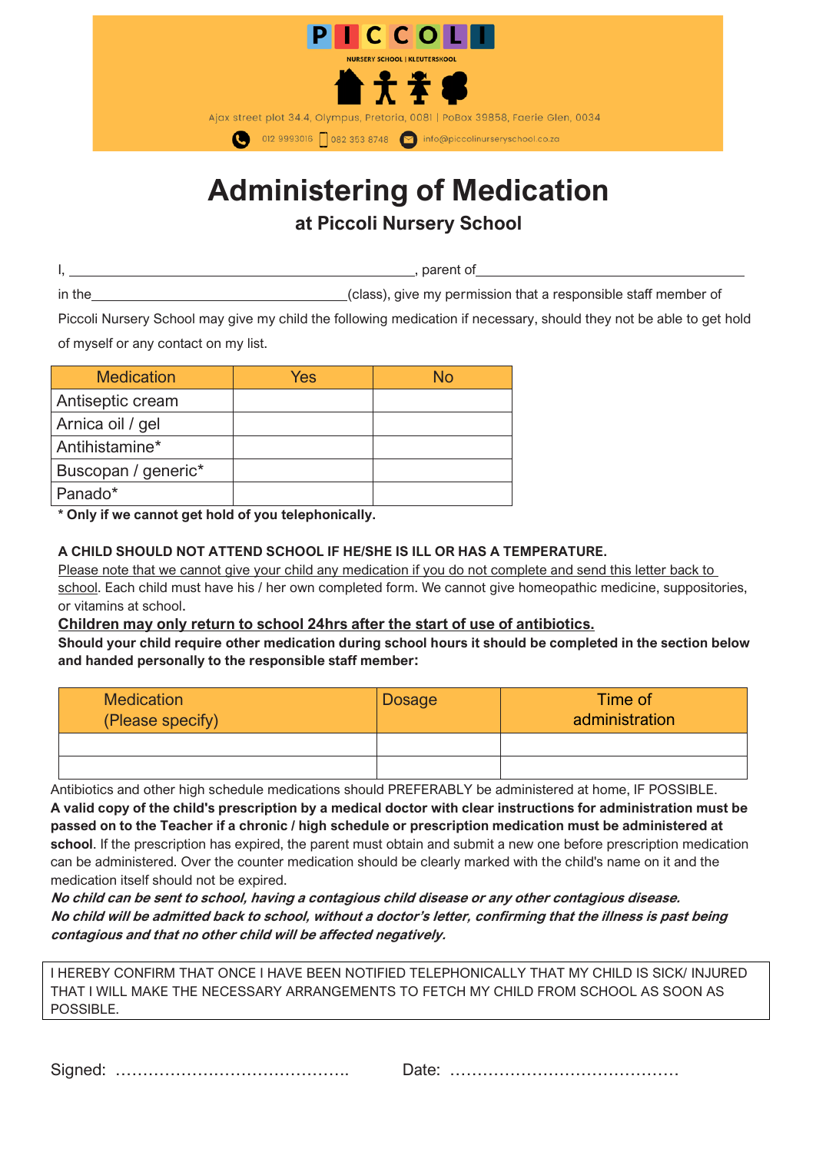

# **Administering of Medication**

## **at Piccoli Nursery School**

|        | parent of                                                      |  |
|--------|----------------------------------------------------------------|--|
| in the | (class), give my permission that a responsible staff member of |  |

Piccoli Nursery School may give my child the following medication if necessary, should they not be able to get hold of myself or any contact on my list.

| <b>Medication</b>   | Yes | No |
|---------------------|-----|----|
| Antiseptic cream    |     |    |
| Arnica oil / gel    |     |    |
| Antihistamine*      |     |    |
| Buscopan / generic* |     |    |
| Panado*             |     |    |

**\* Only if we cannot get hold of you telephonically.**

### **A CHILD SHOULD NOT ATTEND SCHOOL IF HE/SHE IS ILL OR HAS A TEMPERATURE.**

Please note that we cannot give your child any medication if you do not complete and send this letter back to school. Each child must have his / her own completed form. We cannot give homeopathic medicine, suppositories, or vitamins at school.

### **Children may only return to school 24hrs after the start of use of antibiotics.**

**Should your child require other medication during school hours it should be completed in the section below and handed personally to the responsible staff member:**

| <b>Medication</b><br>(Please specify) | Dosage | Time of<br>administration |
|---------------------------------------|--------|---------------------------|
|                                       |        |                           |
|                                       |        |                           |

Antibiotics and other high schedule medications should PREFERABLY be administered at home, IF POSSIBLE. **A valid copy of the child's prescription by a medical doctor with clear instructions for administration must be passed on to the Teacher if a chronic / high schedule or prescription medication must be administered at school**. If the prescription has expired, the parent must obtain and submit a new one before prescription medication can be administered. Over the counter medication should be clearly marked with the child's name on it and the medication itself should not be expired.

**No child can be sent to school, having a contagious child disease or any other contagious disease. No child will be admitted back to school, without a doctor's letter, confirming that the illness is past being contagious and that no other child will be affected negatively.**

I HEREBY CONFIRM THAT ONCE I HAVE BEEN NOTIFIED TELEPHONICALLY THAT MY CHILD IS SICK/ INJURED THAT I WILL MAKE THE NECESSARY ARRANGEMENTS TO FETCH MY CHILD FROM SCHOOL AS SOON AS POSSIBLE.

Signed: ……………………………………. Date: ……………………………………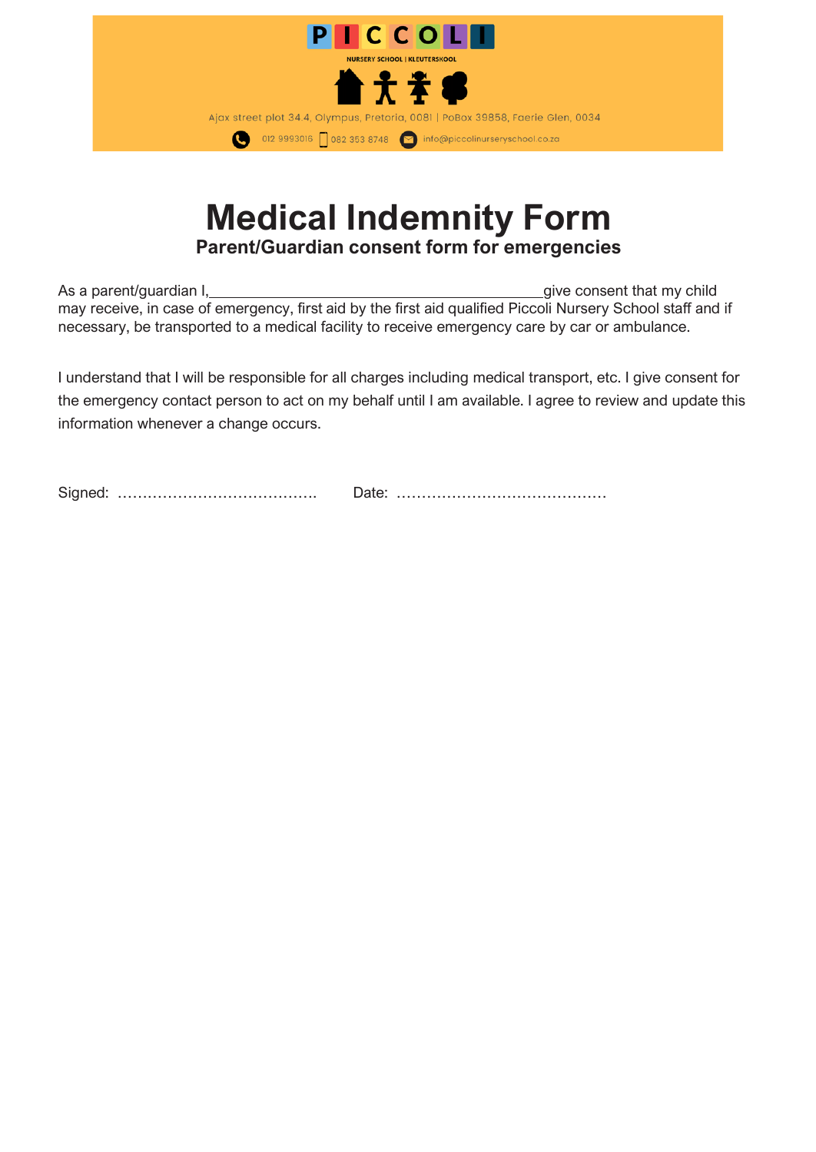

## **Medical Indemnity Form Parent/Guardian consent form for emergencies**

As a parent/guardian I, and the state of the state of the give consent that my child may receive, in case of emergency, first aid by the first aid qualified Piccoli Nursery School staff and if necessary, be transported to a medical facility to receive emergency care by car or ambulance.

I understand that I will be responsible for all charges including medical transport, etc. I give consent for the emergency contact person to act on my behalf until I am available. I agree to review and update this information whenever a change occurs.

Signed: …………………………………. Date: ……………………………………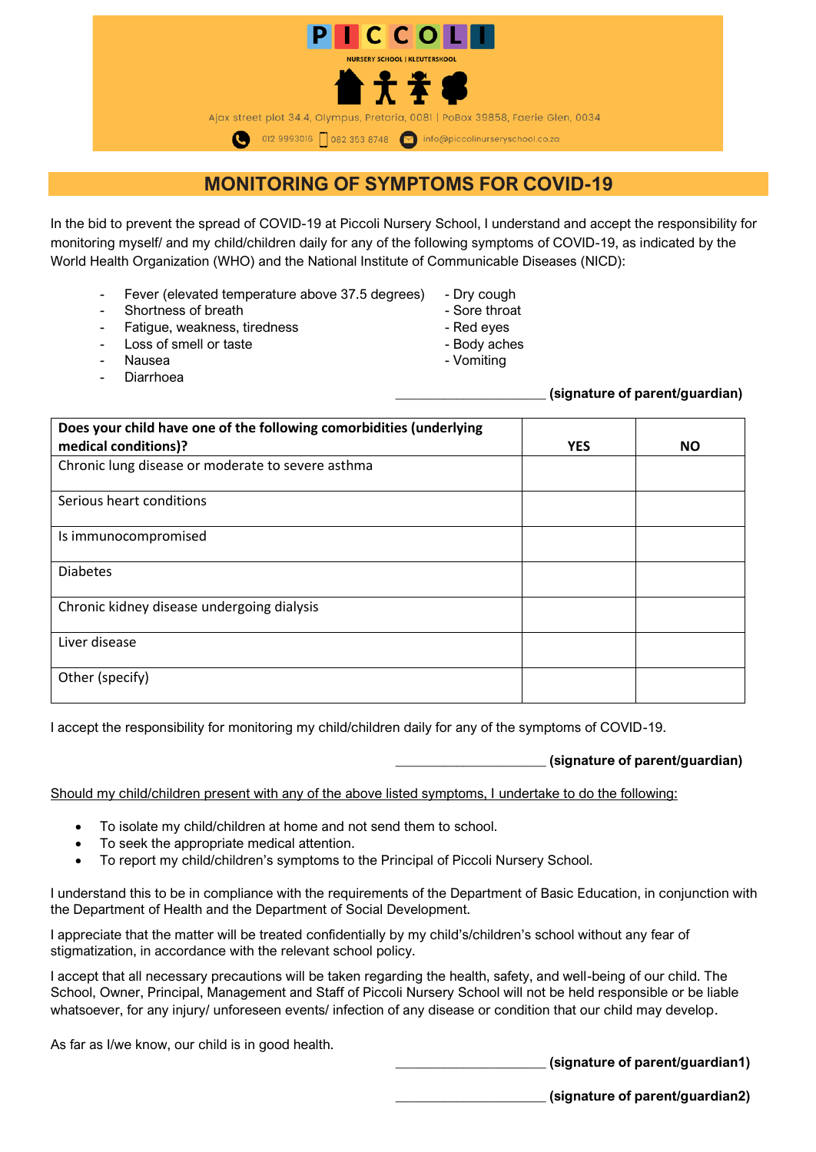

### **MONITORING OF SYMPTOMS FOR COVID-19**

In the bid to prevent the spread of COVID-19 at Piccoli Nursery School, I understand and accept the responsibility for monitoring myself/ and my child/children daily for any of the following symptoms of COVID-19, as indicated by the World Health Organization (WHO) and the National Institute of Communicable Diseases (NICD):

- Fever (elevated temperature above 37.5 degrees) Dry cough
- Shortness of breath  $\sim$  Shortness of breath  $\sim$
- Fatigue, weakness, tiredness extending the Red eyes
- Loss of smell or taste  $\overline{\phantom{a}}$  Body aches
- 
- **Diarrhoea**
- 
- 
- 
- 
- Nausea Vomiting

#### **\_\_\_\_\_\_\_\_\_\_\_\_\_\_\_\_\_\_\_\_\_\_ (signature of parent/guardian)**

| Does your child have one of the following comorbidities (underlying<br>medical conditions)? | <b>YES</b> | <b>NO</b> |
|---------------------------------------------------------------------------------------------|------------|-----------|
| Chronic lung disease or moderate to severe asthma                                           |            |           |
| Serious heart conditions                                                                    |            |           |
| Is immunocompromised                                                                        |            |           |
| <b>Diabetes</b>                                                                             |            |           |
| Chronic kidney disease undergoing dialysis                                                  |            |           |
| Liver disease                                                                               |            |           |
| Other (specify)                                                                             |            |           |

I accept the responsibility for monitoring my child/children daily for any of the symptoms of COVID-19.

### **\_\_\_\_\_\_\_\_\_\_\_\_\_\_\_\_\_\_\_\_\_\_ (signature of parent/guardian)**

Should my child/children present with any of the above listed symptoms, I undertake to do the following:

- To isolate my child/children at home and not send them to school.
- To seek the appropriate medical attention.
- To report my child/children's symptoms to the Principal of Piccoli Nursery School.

I understand this to be in compliance with the requirements of the Department of Basic Education, in conjunction with the Department of Health and the Department of Social Development.

I appreciate that the matter will be treated confidentially by my child's/children's school without any fear of stigmatization, in accordance with the relevant school policy.

I accept that all necessary precautions will be taken regarding the health, safety, and well-being of our child. The School, Owner, Principal, Management and Staff of Piccoli Nursery School will not be held responsible or be liable whatsoever, for any injury/ unforeseen events/ infection of any disease or condition that our child may develop.

As far as I/we know, our child is in good health.

**\_\_\_\_\_\_\_\_\_\_\_\_\_\_\_\_\_\_\_\_\_\_ (signature of parent/guardian1)**

**\_\_\_\_\_\_\_\_\_\_\_\_\_\_\_\_\_\_\_\_\_\_ (signature of parent/guardian2)**